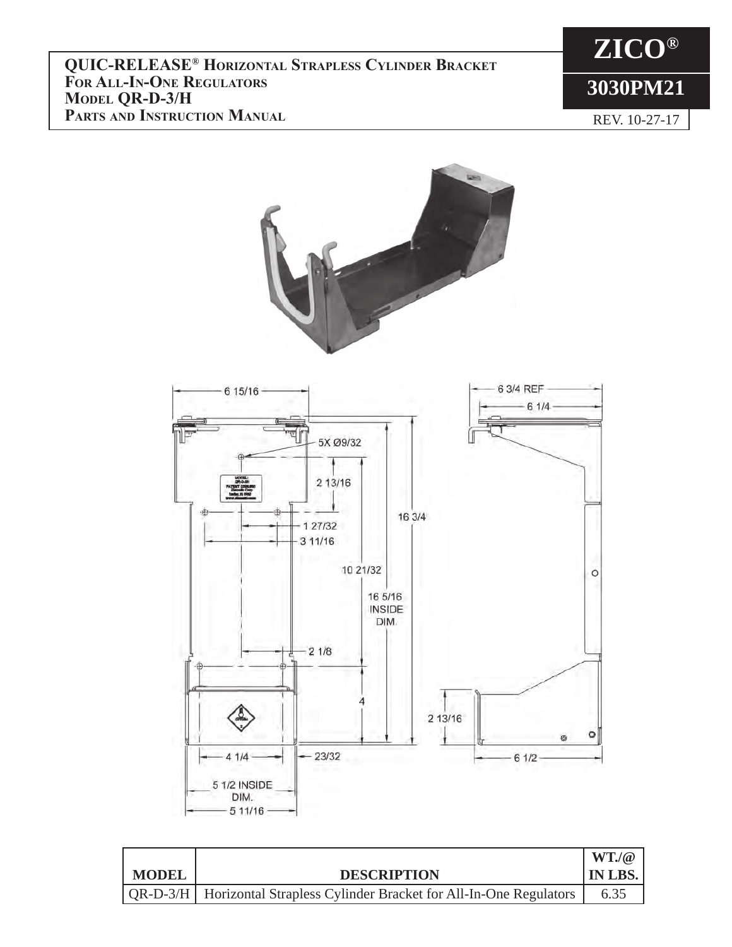

REV. 10-27-17



|         |                                                                            | $WT_{\bullet}/@$ |
|---------|----------------------------------------------------------------------------|------------------|
| I MODEL | <b>DESCRIPTION</b>                                                         | <b>IN LBS.</b>   |
|         | QR-D-3/H   Horizontal Strapless Cylinder Bracket for All-In-One Regulators | 6.35             |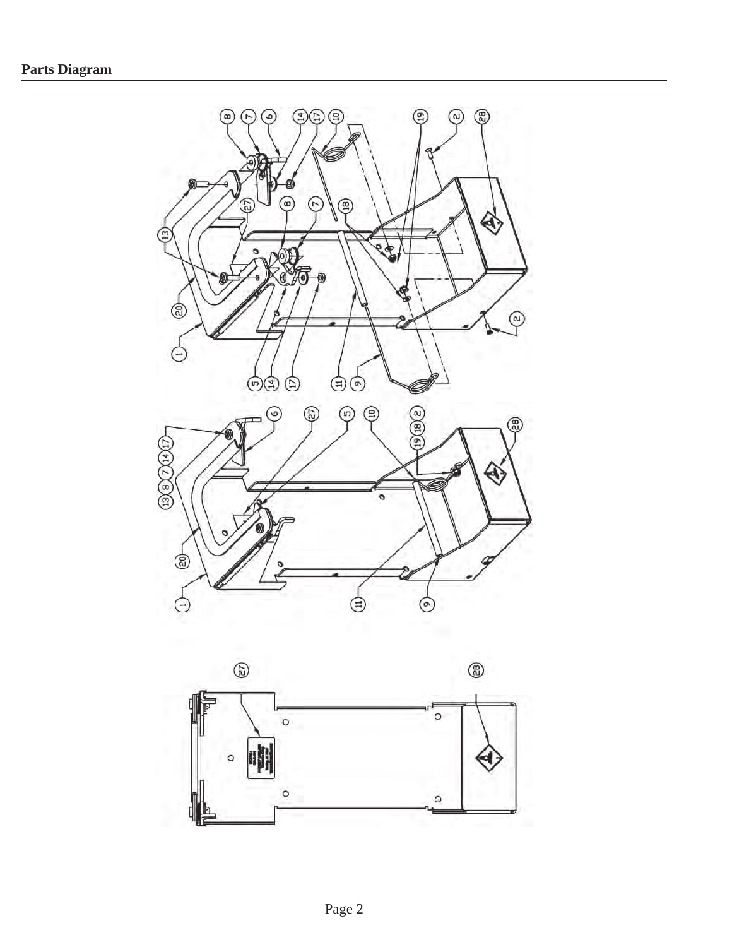

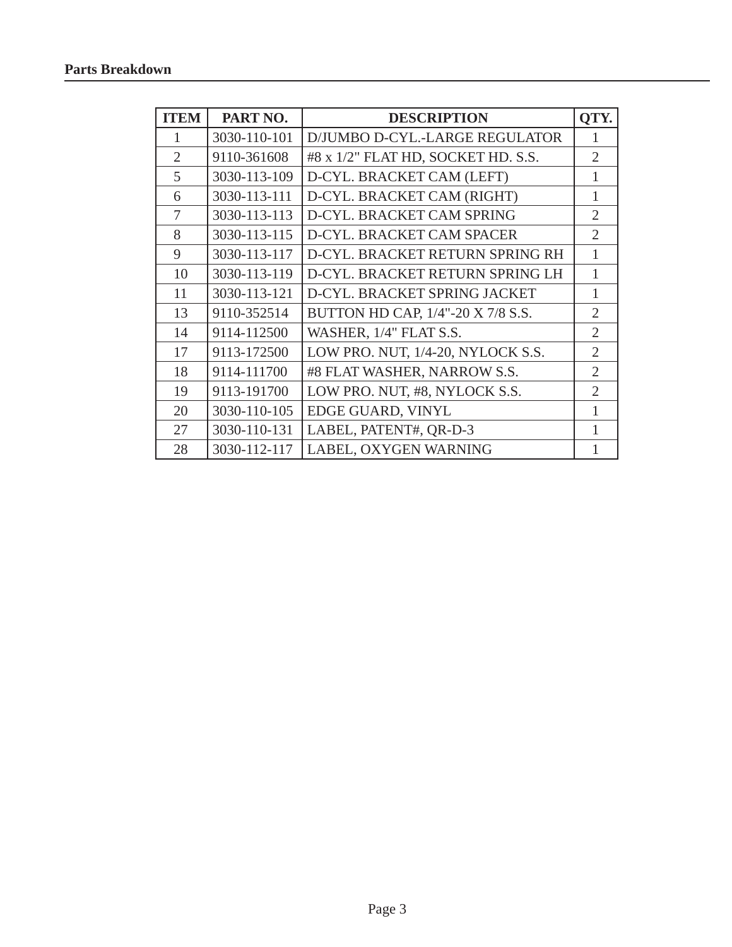| <b>ITEM</b>    | PART NO.     | <b>DESCRIPTION</b>                 | OTY.                        |
|----------------|--------------|------------------------------------|-----------------------------|
| 1              | 3030-110-101 | D/JUMBO D-CYL.-LARGE REGULATOR     |                             |
| $\overline{2}$ | 9110-361608  | #8 x 1/2" FLAT HD, SOCKET HD. S.S. | $\mathfrak{2}$              |
| 5              | 3030-113-109 | D-CYL. BRACKET CAM (LEFT)          | 1                           |
| 6              | 3030-113-111 | D-CYL. BRACKET CAM (RIGHT)         | 1                           |
| 7              | 3030-113-113 | D-CYL. BRACKET CAM SPRING          | $\overline{2}$              |
| 8              | 3030-113-115 | D-CYL. BRACKET CAM SPACER          | $\mathcal{D}_{\mathcal{L}}$ |
| 9              | 3030-113-117 | D-CYL. BRACKET RETURN SPRING RH    | 1                           |
| 10             | 3030-113-119 | D-CYL. BRACKET RETURN SPRING LH    | 1                           |
| 11             | 3030-113-121 | D-CYL. BRACKET SPRING JACKET       | 1                           |
| 13             | 9110-352514  | BUTTON HD CAP, 1/4"-20 X 7/8 S.S.  | $\overline{2}$              |
| 14             | 9114-112500  | WASHER, 1/4" FLAT S.S.             | $\overline{2}$              |
| 17             | 9113-172500  | LOW PRO. NUT, 1/4-20, NYLOCK S.S.  | $\overline{2}$              |
| 18             | 9114-111700  | #8 FLAT WASHER, NARROW S.S.        | $\overline{2}$              |
| 19             | 9113-191700  | LOW PRO. NUT, #8, NYLOCK S.S.      | 2                           |
| 20             | 3030-110-105 | EDGE GUARD, VINYL                  | 1                           |
| 27             | 3030-110-131 | LABEL, PATENT#, QR-D-3             |                             |
| 28             | 3030-112-117 | LABEL, OXYGEN WARNING              |                             |